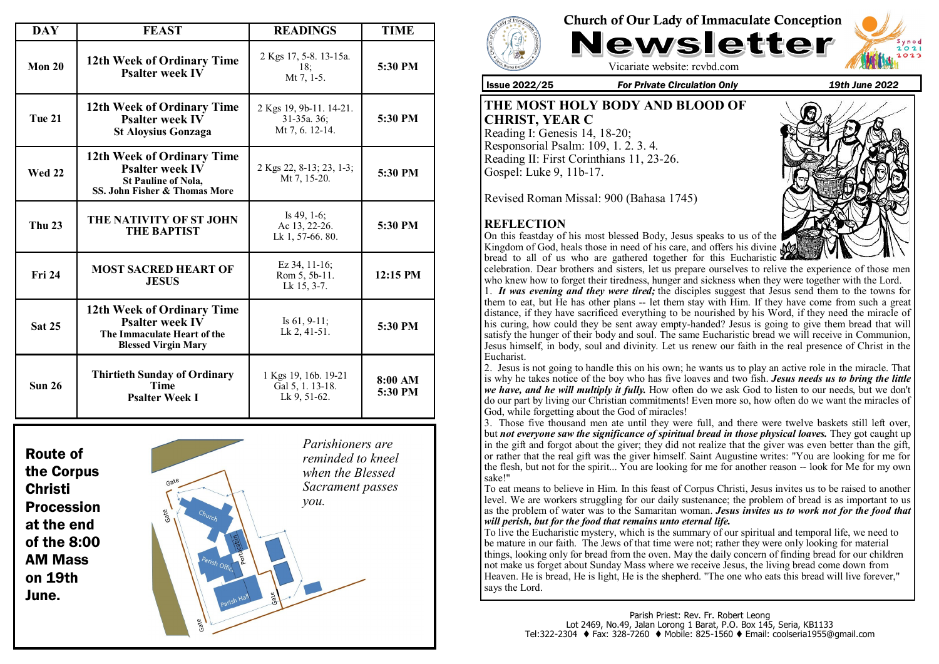| <b>DAY</b>                | <b>FEAST</b>                                                                                                        | <b>READINGS</b>                                           | <b>TIME</b>        |
|---------------------------|---------------------------------------------------------------------------------------------------------------------|-----------------------------------------------------------|--------------------|
| Mon 20                    | 12th Week of Ordinary Time<br><b>Psalter week IV</b>                                                                | 2 Kgs 17, 5-8. 13-15a.<br>18:<br>Mt 7, 1-5.               | 5:30 PM            |
| <b>Tue 21</b>             | 12th Week of Ordinary Time<br><b>Psalter week IV</b><br><b>St Aloysius Gonzaga</b>                                  | 2 Kgs 19, 9b-11. 14-21.<br>31-35a. 36:<br>Mt 7, 6, 12-14. | 5:30 PM            |
| <b>Wed 22</b>             | 12th Week of Ordinary Time<br><b>Psalter week IV</b><br><b>St Pauline of Nola,</b><br>SS. John Fisher & Thomas More | 2 Kgs 22, 8-13; 23, 1-3;<br>Mt 7, 15-20.                  | 5:30 PM            |
| <b>Thu 23</b>             | THE NATIVITY OF ST JOHN<br><b>THE BAPTIST</b>                                                                       | Is $49, 1-6$ ;<br>Ac 13, 22-26.<br>Lk 1, 57-66. 80.       | 5:30 PM            |
| <b>Fri 24</b>             | <b>MOST SACRED HEART OF</b><br><b>JESUS</b>                                                                         | Ez $34, 11-16$ ;<br>Rom 5, 5b-11.<br>Lk 15, 3-7.          | 12:15 PM           |
| <b>Sat 25</b>             | 12th Week of Ordinary Time<br><b>Psalter week IV</b><br>The Immaculate Heart of the<br><b>Blessed Virgin Mary</b>   | Is $61, 9-11$ ;<br>Lk 2, 41-51.                           | 5:30 PM            |
| <b>Sun 26</b>             | <b>Thirtieth Sunday of Ordinary</b><br><b>Time</b><br><b>Psalter Week I</b>                                         | 1 Kgs 19, 16b. 19-21<br>Gal 5, 1. 13-18.<br>Lk 9, 51-62.  | 8:00 AM<br>5:30 PM |
| $\mathbf{r}$ $\mathbf{r}$ |                                                                                                                     |                                                           |                    |







Vicariate website: rcvbd.com

Issue 2022/25 *For Private Circulation Only 19th June 2022*

**THE MOST HOLY BODY AND BLOOD OF CHRIST, YEAR C** Reading I: Genesis 14, 18-20; Responsorial Psalm: 109, 1. 2. 3. 4. Reading II: First Corinthians 11, 23-26. Gospel: Luke 9, 11b-17.

Revised Roman Missal: 900 (Bahasa 1745)

# **REFLECTION**

On this feastday of his most blessed Body, Jesus speaks to us of the Kingdom of God, heals those in need of his care, and offers his divine  $\mathbf{\mathbf{\mathcal{M}}}$ bread to all of us who are gathered together for this Eucharistic



celebration. Dear brothers and sisters, let us prepare ourselves to relive the experience of those men who knew how to forget their tiredness, hunger and sickness when they were together with the Lord.

1. *It was evening and they were tired;* the disciples suggest that Jesus send them to the towns for them to eat, but He has other plans -- let them stay with Him. If they have come from such a great distance, if they have sacrificed everything to be nourished by his Word, if they need the miracle of his curing, how could they be sent away empty-handed? Jesus is going to give them bread that will satisfy the hunger of their body and soul. The same Eucharistic bread we will receive in Communion, Jesus himself, in body, soul and divinity. Let us renew our faith in the real presence of Christ in the Eucharist.

2. Jesus is not going to handle this on his own; he wants us to play an active role in the miracle. That is why he takes notice of the boy who has five loaves and two fish. *Jesus needs us to bring the little we have, and he will multiply it fully.* How often do we ask God to listen to our needs, but we don't do our part by living our Christian commitments! Even more so, how often do we want the miracles of God, while forgetting about the God of miracles!

3. Those five thousand men ate until they were full, and there were twelve baskets still left over, but *not everyone saw the significance of spiritual bread in those physical loaves.* They got caught up in the gift and forgot about the giver; they did not realize that the giver was even better than the gift, or rather that the real gift was the giver himself. Saint Augustine writes: "You are looking for me for the flesh, but not for the spirit... You are looking for me for another reason -- look for Me for my own sake!"

To eat means to believe in Him. In this feast of Corpus Christi, Jesus invites us to be raised to another level. We are workers struggling for our daily sustenance; the problem of bread is as important to us as the problem of water was to the Samaritan woman. *Jesus invites us to work not for the food that will perish, but for the food that remains unto eternal life.*

To live the Eucharistic mystery, which is the summary of our spiritual and temporal life, we need to be mature in our faith. The Jews of that time were not; rather they were only looking for material things, looking only for bread from the oven. May the daily concern of finding bread for our children not make us forget about Sunday Mass where we receive Jesus, the living bread come down from Heaven. He is bread, He is light, He is the shepherd. "The one who eats this bread will live forever," says the Lord.